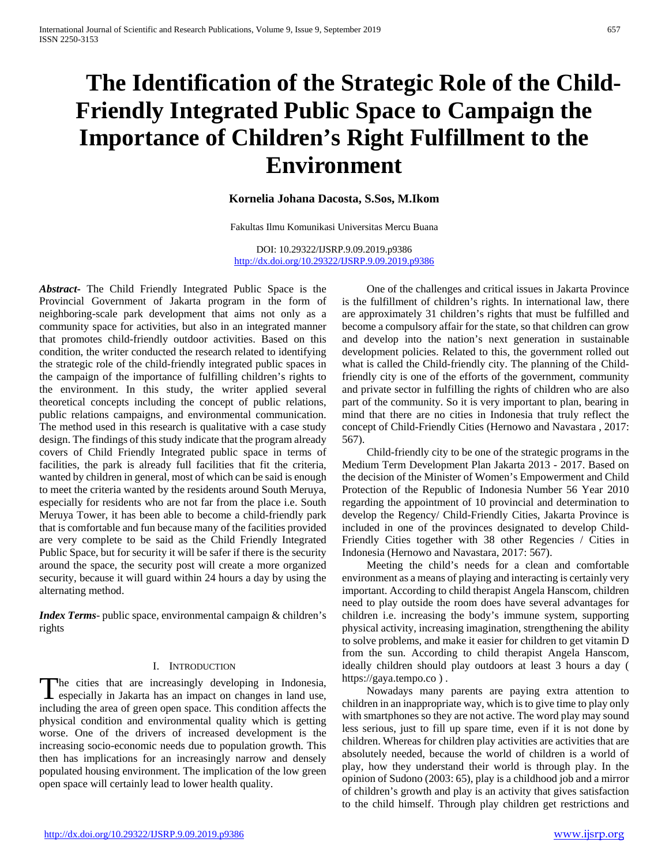# **The Identification of the Strategic Role of the Child-Friendly Integrated Public Space to Campaign the Importance of Children's Right Fulfillment to the Environment**

# **Kornelia Johana Dacosta, S.Sos, M.Ikom**

Fakultas Ilmu Komunikasi Universitas Mercu Buana

DOI: 10.29322/IJSRP.9.09.2019.p9386 <http://dx.doi.org/10.29322/IJSRP.9.09.2019.p9386>

*Abstract***-** The Child Friendly Integrated Public Space is the Provincial Government of Jakarta program in the form of neighboring-scale park development that aims not only as a community space for activities, but also in an integrated manner that promotes child-friendly outdoor activities. Based on this condition, the writer conducted the research related to identifying the strategic role of the child-friendly integrated public spaces in the campaign of the importance of fulfilling children's rights to the environment. In this study, the writer applied several theoretical concepts including the concept of public relations, public relations campaigns, and environmental communication. The method used in this research is qualitative with a case study design. The findings of this study indicate that the program already covers of Child Friendly Integrated public space in terms of facilities, the park is already full facilities that fit the criteria, wanted by children in general, most of which can be said is enough to meet the criteria wanted by the residents around South Meruya, especially for residents who are not far from the place i.e. South Meruya Tower, it has been able to become a child-friendly park that is comfortable and fun because many of the facilities provided are very complete to be said as the Child Friendly Integrated Public Space, but for security it will be safer if there is the security around the space, the security post will create a more organized security, because it will guard within 24 hours a day by using the alternating method.

*Index Terms*- public space, environmental campaign & children's rights

## I. INTRODUCTION

The cities that are increasingly developing in Indonesia, The cities that are increasingly developing in Indonesia,<br>especially in Jakarta has an impact on changes in land use, including the area of green open space. This condition affects the physical condition and environmental quality which is getting worse. One of the drivers of increased development is the increasing socio-economic needs due to population growth. This then has implications for an increasingly narrow and densely populated housing environment. The implication of the low green open space will certainly lead to lower health quality.

 One of the challenges and critical issues in Jakarta Province is the fulfillment of children's rights. In international law, there are approximately 31 children's rights that must be fulfilled and become a compulsory affair for the state, so that children can grow and develop into the nation's next generation in sustainable development policies. Related to this, the government rolled out what is called the Child-friendly city. The planning of the Childfriendly city is one of the efforts of the government, community and private sector in fulfilling the rights of children who are also part of the community. So it is very important to plan, bearing in mind that there are no cities in Indonesia that truly reflect the concept of Child-Friendly Cities (Hernowo and Navastara , 2017: 567).

 Child-friendly city to be one of the strategic programs in the Medium Term Development Plan Jakarta 2013 - 2017. Based on the decision of the Minister of Women's Empowerment and Child Protection of the Republic of Indonesia Number 56 Year 2010 regarding the appointment of 10 provincial and determination to develop the Regency/ Child-Friendly Cities, Jakarta Province is included in one of the provinces designated to develop Child-Friendly Cities together with 38 other Regencies / Cities in Indonesia (Hernowo and Navastara, 2017: 567).

 Meeting the child's needs for a clean and comfortable environment as a means of playing and interacting is certainly very important. According to child therapist Angela Hanscom, children need to play outside the room does have several advantages for children i.e. increasing the body's immune system, supporting physical activity, increasing imagination, strengthening the ability to solve problems, and make it easier for children to get vitamin D from the sun. According to child therapist Angela Hanscom, ideally children should play outdoors at least 3 hours a day ( https://gaya.tempo.co ) .

 Nowadays many parents are paying extra attention to children in an inappropriate way, which is to give time to play only with smartphones so they are not active. The word play may sound less serious, just to fill up spare time, even if it is not done by children. Whereas for children play activities are activities that are absolutely needed, because the world of children is a world of play, how they understand their world is through play. In the opinion of Sudono (2003: 65), play is a childhood job and a mirror of children's growth and play is an activity that gives satisfaction to the child himself. Through play children get restrictions and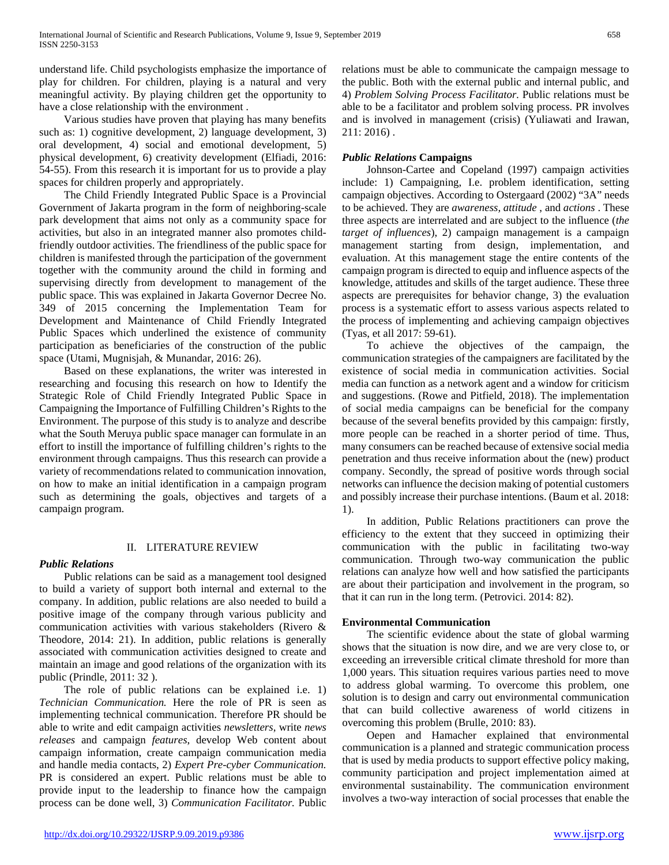understand life. Child psychologists emphasize the importance of play for children. For children, playing is a natural and very meaningful activity. By playing children get the opportunity to have a close relationship with the environment .

 Various studies have proven that playing has many benefits such as: 1) cognitive development, 2) language development, 3) oral development, 4) social and emotional development, 5) physical development, 6) creativity development (Elfiadi, 2016: 54-55). From this research it is important for us to provide a play spaces for children properly and appropriately.

 The Child Friendly Integrated Public Space is a Provincial Government of Jakarta program in the form of neighboring-scale park development that aims not only as a community space for activities, but also in an integrated manner also promotes childfriendly outdoor activities. The friendliness of the public space for children is manifested through the participation of the government together with the community around the child in forming and supervising directly from development to management of the public space. This was explained in Jakarta Governor Decree No. 349 of 2015 concerning the Implementation Team for Development and Maintenance of Child Friendly Integrated Public Spaces which underlined the existence of community participation as beneficiaries of the construction of the public space (Utami, Mugnisjah, & Munandar, 2016: 26).

 Based on these explanations, the writer was interested in researching and focusing this research on how to Identify the Strategic Role of Child Friendly Integrated Public Space in Campaigning the Importance of Fulfilling Children's Rights to the Environment. The purpose of this study is to analyze and describe what the South Meruya public space manager can formulate in an effort to instill the importance of fulfilling children's rights to the environment through campaigns. Thus this research can provide a variety of recommendations related to communication innovation, on how to make an initial identification in a campaign program such as determining the goals, objectives and targets of a campaign program.

# II. LITERATURE REVIEW

# *Public Relations*

 Public relations can be said as a management tool designed to build a variety of support both internal and external to the company. In addition, public relations are also needed to build a positive image of the company through various publicity and communication activities with various stakeholders (Rivero & Theodore, 2014: 21). In addition, public relations is generally associated with communication activities designed to create and maintain an image and good relations of the organization with its public (Prindle, 2011: 32 ).

 The role of public relations can be explained i.e. 1) *Technician Communication.* Here the role of PR is seen as implementing technical communication. Therefore PR should be able to write and edit campaign activities *newsletters*, write *news releases* and campaign *features*, develop Web content about campaign information, create campaign communication media and handle media contacts, 2) *Expert Pre-cyber Communication.*  PR is considered an expert. Public relations must be able to provide input to the leadership to finance how the campaign process can be done well, 3) *Communication Facilitator.* Public

relations must be able to communicate the campaign message to the public. Both with the external public and internal public*,* and 4) *Problem Solving Process Facilitator.* Public relations must be able to be a facilitator and problem solving process. PR involves and is involved in management (crisis) (Yuliawati and Irawan, 211: 2016) .

# *Public Relations* **Campaigns**

 Johnson-Cartee and Copeland (1997) campaign activities include: 1) Campaigning, I.e. problem identification, setting campaign objectives. According to Ostergaard (2002) "3A" needs to be achieved. They are *awareness, attitude* , and *actions* . These three aspects are interrelated and are subject to the influence (*the target of influences*), 2) campaign management is a campaign management starting from design, implementation, and evaluation. At this management stage the entire contents of the campaign program is directed to equip and influence aspects of the knowledge, attitudes and skills of the target audience. These three aspects are prerequisites for behavior change, 3) the evaluation process is a systematic effort to assess various aspects related to the process of implementing and achieving campaign objectives (Tyas, et all 2017: 59-61).

 To achieve the objectives of the campaign, the communication strategies of the campaigners are facilitated by the existence of social media in communication activities. Social media can function as a network agent and a window for criticism and suggestions. (Rowe and Pitfield, 2018). The implementation of social media campaigns can be beneficial for the company because of the several benefits provided by this campaign: firstly, more people can be reached in a shorter period of time. Thus, many consumers can be reached because of extensive social media penetration and thus receive information about the (new) product company. Secondly, the spread of positive words through social networks can influence the decision making of potential customers and possibly increase their purchase intentions. (Baum et al. 2018: 1).

 In addition, Public Relations practitioners can prove the efficiency to the extent that they succeed in optimizing their communication with the public in facilitating two-way communication. Through two-way communication the public relations can analyze how well and how satisfied the participants are about their participation and involvement in the program, so that it can run in the long term. (Petrovici. 2014: 82).

# **Environmental Communication**

 The scientific evidence about the state of global warming shows that the situation is now dire, and we are very close to, or exceeding an irreversible critical climate threshold for more than 1,000 years. This situation requires various parties need to move to address global warming. To overcome this problem, one solution is to design and carry out environmental communication that can build collective awareness of world citizens in overcoming this problem (Brulle, 2010: 83).

 Oepen and Hamacher explained that environmental communication is a planned and strategic communication process that is used by media products to support effective policy making, community participation and project implementation aimed at environmental sustainability. The communication environment involves a two-way interaction of social processes that enable the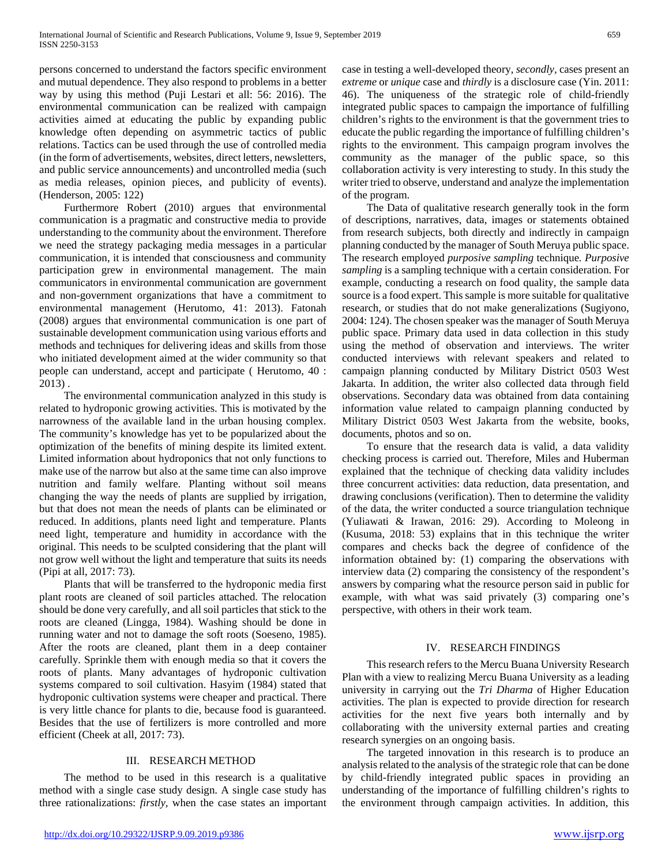persons concerned to understand the factors specific environment and mutual dependence. They also respond to problems in a better way by using this method (Puji Lestari et all: 56: 2016). The environmental communication can be realized with campaign activities aimed at educating the public by expanding public knowledge often depending on asymmetric tactics of public relations. Tactics can be used through the use of controlled media (in the form of advertisements, websites, direct letters, newsletters, and public service announcements) and uncontrolled media (such as media releases, opinion pieces, and publicity of events). (Henderson, 2005: 122)

 Furthermore Robert (2010) argues that environmental communication is a pragmatic and constructive media to provide understanding to the community about the environment. Therefore we need the strategy packaging media messages in a particular communication, it is intended that consciousness and community participation grew in environmental management. The main communicators in environmental communication are government and non-government organizations that have a commitment to environmental management (Herutomo, 41: 2013). Fatonah (2008) argues that environmental communication is one part of sustainable development communication using various efforts and methods and techniques for delivering ideas and skills from those who initiated development aimed at the wider community so that people can understand, accept and participate ( Herutomo, 40 : 2013) .

 The environmental communication analyzed in this study is related to hydroponic growing activities. This is motivated by the narrowness of the available land in the urban housing complex. The community's knowledge has yet to be popularized about the optimization of the benefits of mining despite its limited extent. Limited information about hydroponics that not only functions to make use of the narrow but also at the same time can also improve nutrition and family welfare. Planting without soil means changing the way the needs of plants are supplied by irrigation, but that does not mean the needs of plants can be eliminated or reduced. In additions, plants need light and temperature. Plants need light, temperature and humidity in accordance with the original. This needs to be sculpted considering that the plant will not grow well without the light and temperature that suits its needs (Pipi at all, 2017: 73).

 Plants that will be transferred to the hydroponic media first plant roots are cleaned of soil particles attached. The relocation should be done very carefully, and all soil particles that stick to the roots are cleaned (Lingga, 1984). Washing should be done in running water and not to damage the soft roots (Soeseno, 1985). After the roots are cleaned, plant them in a deep container carefully. Sprinkle them with enough media so that it covers the roots of plants. Many advantages of hydroponic cultivation systems compared to soil cultivation. Hasyim (1984) stated that hydroponic cultivation systems were cheaper and practical. There is very little chance for plants to die, because food is guaranteed. Besides that the use of fertilizers is more controlled and more efficient (Cheek at all, 2017: 73).

## III. RESEARCH METHOD

 The method to be used in this research is a qualitative method with a single case study design. A single case study has three rationalizations: *firstly,* when the case states an important case in testing a well-developed theory, *secondly,* cases present an *extreme* or *unique* case and *thirdly* is a disclosure case (Yin. 2011: 46). The uniqueness of the strategic role of child-friendly integrated public spaces to campaign the importance of fulfilling children's rights to the environment is that the government tries to educate the public regarding the importance of fulfilling children's rights to the environment. This campaign program involves the community as the manager of the public space, so this collaboration activity is very interesting to study. In this study the writer tried to observe, understand and analyze the implementation of the program.

 The Data of qualitative research generally took in the form of descriptions, narratives, data, images or statements obtained from research subjects, both directly and indirectly in campaign planning conducted by the manager of South Meruya public space. The research employed *purposive sampling* technique*. Purposive sampling* is a sampling technique with a certain consideration. For example, conducting a research on food quality, the sample data source is a food expert. This sample is more suitable for qualitative research, or studies that do not make generalizations (Sugiyono, 2004: 124). The chosen speaker was the manager of South Meruya public space. Primary data used in data collection in this study using the method of observation and interviews. The writer conducted interviews with relevant speakers and related to campaign planning conducted by Military District 0503 West Jakarta. In addition, the writer also collected data through field observations. Secondary data was obtained from data containing information value related to campaign planning conducted by Military District 0503 West Jakarta from the website, books, documents, photos and so on.

 To ensure that the research data is valid, a data validity checking process is carried out. Therefore, Miles and Huberman explained that the technique of checking data validity includes three concurrent activities: data reduction, data presentation, and drawing conclusions (verification). Then to determine the validity of the data, the writer conducted a source triangulation technique (Yuliawati & Irawan, 2016: 29). According to Moleong in (Kusuma, 2018: 53) explains that in this technique the writer compares and checks back the degree of confidence of the information obtained by: (1) comparing the observations with interview data (2) comparing the consistency of the respondent's answers by comparing what the resource person said in public for example, with what was said privately (3) comparing one's perspective, with others in their work team.

## IV. RESEARCH FINDINGS

 This research refers to the Mercu Buana University Research Plan with a view to realizing Mercu Buana University as a leading university in carrying out the *Tri Dharma* of Higher Education activities. The plan is expected to provide direction for research activities for the next five years both internally and by collaborating with the university external parties and creating research synergies on an ongoing basis.

 The targeted innovation in this research is to produce an analysis related to the analysis of the strategic role that can be done by child-friendly integrated public spaces in providing an understanding of the importance of fulfilling children's rights to the environment through campaign activities. In addition, this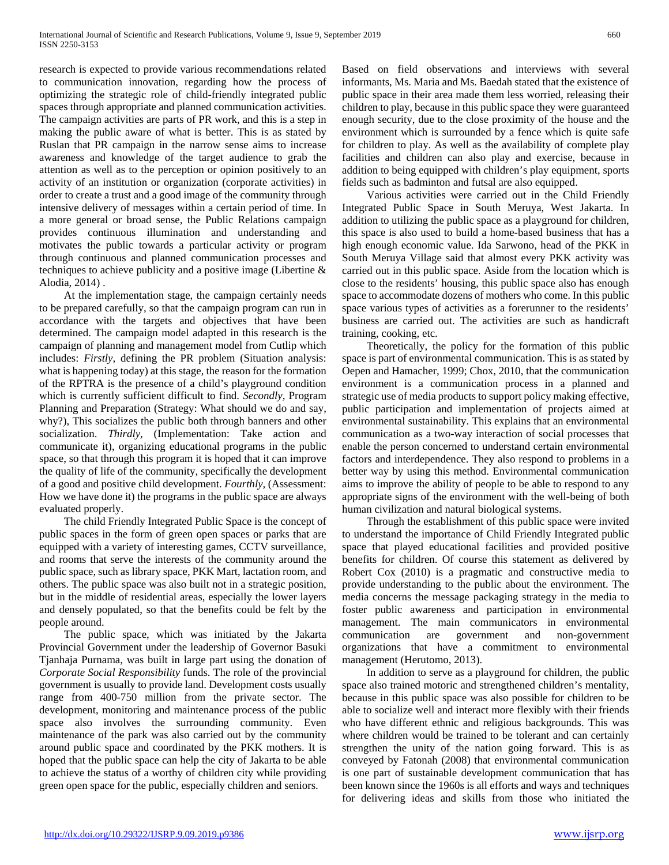research is expected to provide various recommendations related to communication innovation, regarding how the process of optimizing the strategic role of child-friendly integrated public spaces through appropriate and planned communication activities. The campaign activities are parts of PR work, and this is a step in making the public aware of what is better. This is as stated by Ruslan that PR campaign in the narrow sense aims to increase awareness and knowledge of the target audience to grab the attention as well as to the perception or opinion positively to an activity of an institution or organization (corporate activities) in order to create a trust and a good image of the community through intensive delivery of messages within a certain period of time. In a more general or broad sense, the Public Relations campaign provides continuous illumination and understanding and motivates the public towards a particular activity or program through continuous and planned communication processes and techniques to achieve publicity and a positive image (Libertine & Alodia, 2014) .

 At the implementation stage, the campaign certainly needs to be prepared carefully, so that the campaign program can run in accordance with the targets and objectives that have been determined. The campaign model adapted in this research is the campaign of planning and management model from Cutlip which includes: *Firstly,* defining the PR problem (Situation analysis: what is happening today) at this stage, the reason for the formation of the RPTRA is the presence of a child's playground condition which is currently sufficient difficult to find. *Secondly,* Program Planning and Preparation (Strategy: What should we do and say, why?), This socializes the public both through banners and other socialization. *Thirdly,* (Implementation: Take action and communicate it), organizing educational programs in the public space, so that through this program it is hoped that it can improve the quality of life of the community, specifically the development of a good and positive child development. *Fourthly,* (Assessment: How we have done it) the programs in the public space are always evaluated properly.

 The child Friendly Integrated Public Space is the concept of public spaces in the form of green open spaces or parks that are equipped with a variety of interesting games, CCTV surveillance, and rooms that serve the interests of the community around the public space, such as library space, PKK Mart, lactation room, and others. The public space was also built not in a strategic position, but in the middle of residential areas, especially the lower layers and densely populated, so that the benefits could be felt by the people around.

 The public space, which was initiated by the Jakarta Provincial Government under the leadership of Governor Basuki Tjanhaja Purnama, was built in large part using the donation of *Corporate Social Responsibility* funds. The role of the provincial government is usually to provide land. Development costs usually range from 400-750 million from the private sector. The development, monitoring and maintenance process of the public space also involves the surrounding community. Even maintenance of the park was also carried out by the community around public space and coordinated by the PKK mothers. It is hoped that the public space can help the city of Jakarta to be able to achieve the status of a worthy of children city while providing green open space for the public, especially children and seniors.

Based on field observations and interviews with several informants, Ms. Maria and Ms. Baedah stated that the existence of public space in their area made them less worried, releasing their children to play, because in this public space they were guaranteed enough security, due to the close proximity of the house and the environment which is surrounded by a fence which is quite safe for children to play. As well as the availability of complete play facilities and children can also play and exercise, because in addition to being equipped with children's play equipment, sports fields such as badminton and futsal are also equipped.

 Various activities were carried out in the Child Friendly Integrated Public Space in South Meruya, West Jakarta. In addition to utilizing the public space as a playground for children, this space is also used to build a home-based business that has a high enough economic value. Ida Sarwono, head of the PKK in South Meruya Village said that almost every PKK activity was carried out in this public space. Aside from the location which is close to the residents' housing, this public space also has enough space to accommodate dozens of mothers who come. In this public space various types of activities as a forerunner to the residents' business are carried out. The activities are such as handicraft training, cooking, etc.

 Theoretically, the policy for the formation of this public space is part of environmental communication. This is as stated by Oepen and Hamacher, 1999; Chox, 2010, that the communication environment is a communication process in a planned and strategic use of media products to support policy making effective, public participation and implementation of projects aimed at environmental sustainability. This explains that an environmental communication as a two-way interaction of social processes that enable the person concerned to understand certain environmental factors and interdependence. They also respond to problems in a better way by using this method. Environmental communication aims to improve the ability of people to be able to respond to any appropriate signs of the environment with the well-being of both human civilization and natural biological systems.

 Through the establishment of this public space were invited to understand the importance of Child Friendly Integrated public space that played educational facilities and provided positive benefits for children. Of course this statement as delivered by Robert Cox (2010) is a pragmatic and constructive media to provide understanding to the public about the environment. The media concerns the message packaging strategy in the media to foster public awareness and participation in environmental management. The main communicators in environmental communication are government and non-government organizations that have a commitment to environmental management (Herutomo, 2013).

 In addition to serve as a playground for children, the public space also trained motoric and strengthened children's mentality, because in this public space was also possible for children to be able to socialize well and interact more flexibly with their friends who have different ethnic and religious backgrounds. This was where children would be trained to be tolerant and can certainly strengthen the unity of the nation going forward. This is as conveyed by Fatonah (2008) that environmental communication is one part of sustainable development communication that has been known since the 1960s is all efforts and ways and techniques for delivering ideas and skills from those who initiated the